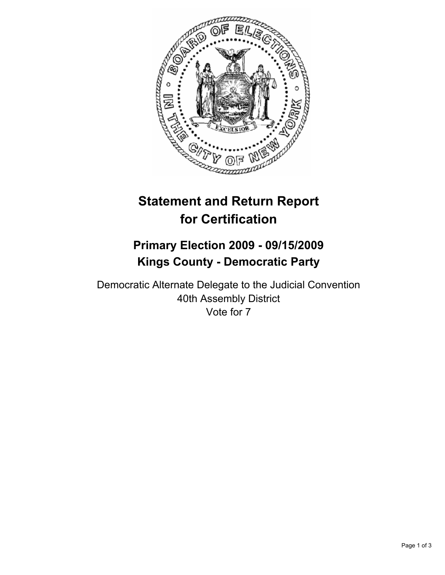

# **Statement and Return Report for Certification**

# **Primary Election 2009 - 09/15/2009 Kings County - Democratic Party**

Democratic Alternate Delegate to the Judicial Convention 40th Assembly District Vote for 7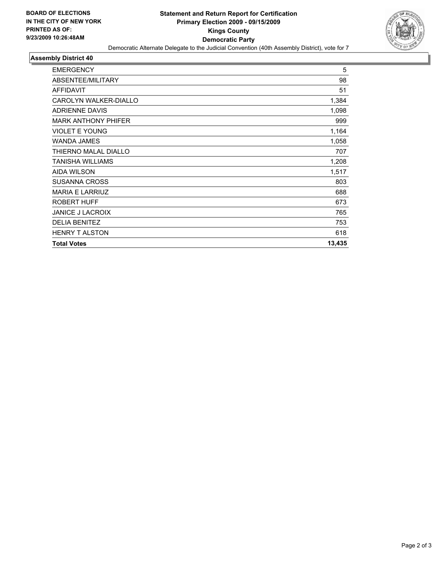

#### **Assembly District 40**

| <b>EMERGENCY</b>           | 5      |
|----------------------------|--------|
| ABSENTEE/MILITARY          | 98     |
| <b>AFFIDAVIT</b>           | 51     |
| CAROLYN WALKER-DIALLO      | 1,384  |
| <b>ADRIENNE DAVIS</b>      | 1,098  |
| <b>MARK ANTHONY PHIFER</b> | 999    |
| <b>VIOLET E YOUNG</b>      | 1,164  |
| <b>WANDA JAMES</b>         | 1,058  |
| THIERNO MALAL DIALLO       | 707    |
| TANISHA WILLIAMS           | 1,208  |
| <b>AIDA WILSON</b>         | 1,517  |
| <b>SUSANNA CROSS</b>       | 803    |
| <b>MARIA E LARRIUZ</b>     | 688    |
| <b>ROBERT HUFF</b>         | 673    |
| <b>JANICE J LACROIX</b>    | 765    |
| <b>DELIA BENITEZ</b>       | 753    |
| <b>HENRY T ALSTON</b>      | 618    |
| <b>Total Votes</b>         | 13,435 |